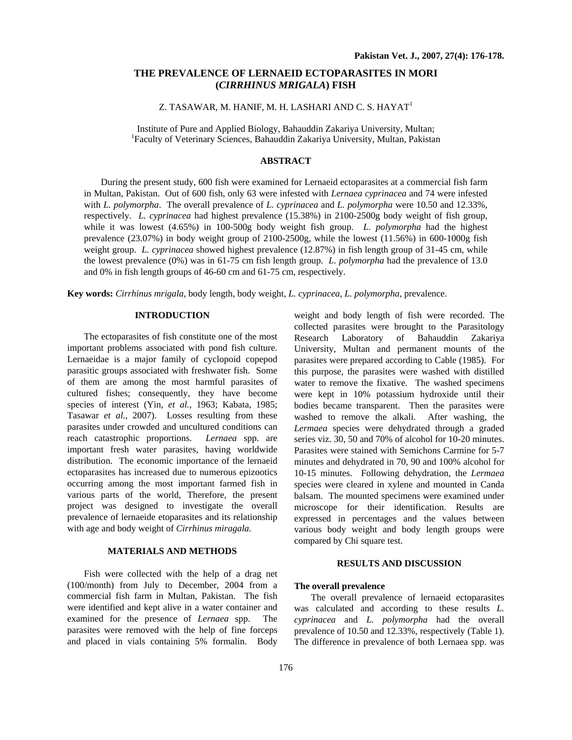# **THE PREVALENCE OF LERNAEID ECTOPARASITES IN MORI (***CIRRHINUS MRIGALA***) FISH**

### Z. TASAWAR, M. HANIF, M. H. LASHARI AND C. S. HAYAT<sup>1</sup>

Institute of Pure and Applied Biology, Bahauddin Zakariya University, Multan; <sup>1</sup> Faculty of Veterinary Sciences, Bahauddin Zakariya University, Multan, Pakistan

## **ABSTRACT**

During the present study, 600 fish were examined for Lernaeid ectoparasites at a commercial fish farm in Multan, Pakistan. Out of 600 fish, only 63 were infested with *Lernaea cyprinacea* and 74 were infested with *L. polymorpha*. The overall prevalence of *L. cyprinacea* and *L. polymorpha* were 10.50 and 12.33%, respectively. *L. cyprinacea* had highest prevalence (15.38%) in 2100-2500g body weight of fish group, while it was lowest (4.65%) in 100-500g body weight fish group. *L. polymorpha* had the highest prevalence (23.07%) in body weight group of 2100-2500g, while the lowest (11.56%) in 600-1000g fish weight group. *L. cyprinacea* showed highest prevalence (12.87%) in fish length group of 31-45 cm, while the lowest prevalence (0%) was in 61-75 cm fish length group. *L. polymorpha* had the prevalence of 13.0 and 0% in fish length groups of 46-60 cm and 61-75 cm, respectively.

**Key words:** *Cirrhinus mrigala*, body length, body weight, *L. cyprinacea, L. polymorpha,* prevalence.

#### **INTRODUCTION**

The ectoparasites of fish constitute one of the most important problems associated with pond fish culture. Lernaeidae is a major family of cyclopoid copepod parasitic groups associated with freshwater fish. Some of them are among the most harmful parasites of cultured fishes; consequently, they have become species of interest (Yin, *et al.,* 1963; Kabata, 1985; Tasawar *et al*., 2007). Losses resulting from these parasites under crowded and uncultured conditions can reach catastrophic proportions. *Lernaea* spp. are important fresh water parasites, having worldwide distribution. The economic importance of the lernaeid ectoparasites has increased due to numerous epizootics occurring among the most important farmed fish in various parts of the world, Therefore, the present project was designed to investigate the overall prevalence of lernaeide etoparasites and its relationship with age and body weight of *Cirrhinus miragala.* 

## **MATERIALS AND METHODS**

Fish were collected with the help of a drag net (100/month) from July to December, 2004 from a commercial fish farm in Multan, Pakistan. The fish were identified and kept alive in a water container and examined for the presence of *Lernaea* spp. The parasites were removed with the help of fine forceps and placed in vials containing 5% formalin. Body

weight and body length of fish were recorded. The collected parasites were brought to the Parasitology Research Laboratory of Bahauddin Zakariya University, Multan and permanent mounts of the parasites were prepared according to Cable (1985). For this purpose, the parasites were washed with distilled water to remove the fixative. The washed specimens were kept in 10% potassium hydroxide until their bodies became transparent. Then the parasites were washed to remove the alkali. After washing, the *Lermaea* species were dehydrated through a graded series viz. 30, 50 and 70% of alcohol for 10-20 minutes. Parasites were stained with Semichons Carmine for 5-7 minutes and dehydrated in 70, 90 and 100% alcohol for 10-15 minutes. Following dehydration, the *Lermaea* species were cleared in xylene and mounted in Canda balsam. The mounted specimens were examined under microscope for their identification. Results are expressed in percentages and the values between various body weight and body length groups were compared by Chi square test.

### **RESULTS AND DISCUSSION**

### **The overall prevalence**

The overall prevalence of lernaeid ectoparasites was calculated and according to these results *L. cyprinacea* and *L. polymorpha* had the overall prevalence of 10.50 and 12.33%, respectively (Table 1). The difference in prevalence of both Lernaea spp. was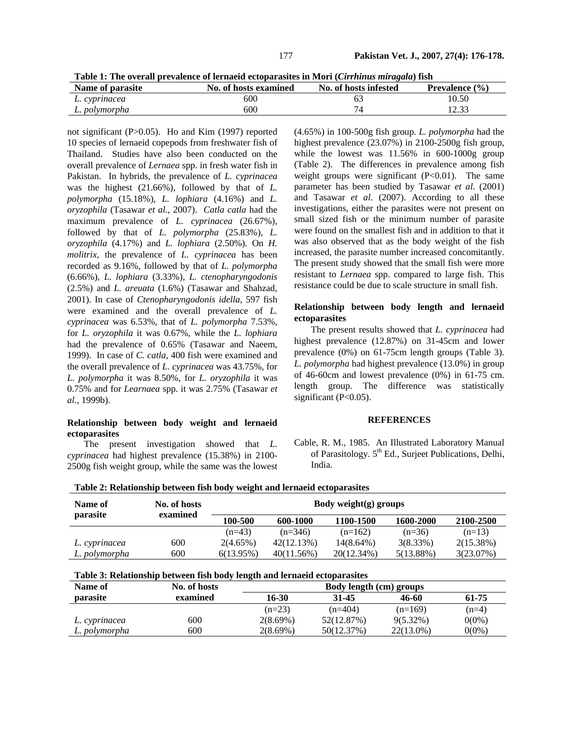**Table 1: The overall prevalence of lernaeid ectoparasites in Mori (***Cirrhinus miragala***) fish** 

| Name of parasite | No. of hosts examined | No. of hosts infested | <b>Prevalence</b> $(\% )$ |
|------------------|-----------------------|-----------------------|---------------------------|
| L. cyprinacea    | 600                   |                       | 10.50                     |
| L. polymorpha    | 600                   |                       | ل د ، ک                   |

not significant (P>0.05). Ho and Kim (1997) reported 10 species of lernaeid copepods from freshwater fish of Thailand. Studies have also been conducted on the overall prevalence of *Lernaea* spp. in fresh water fish in Pakistan. In hybrids, the prevalence of *L. cyprinacea* was the highest (21.66%), followed by that of *L. polymorpha* (15.18%), *L. lophiara* (4.16%) and *L. oryzophila* (Tasawar *et al.,* 2007). *Catla catla* had the maximum prevalence of *L. cyprinacea* (26.67%), followed by that of *L. polymorpha* (25.83%), *L. oryzophila* (4.17%) and *L. lophiara* (2.50%). On *H. molitrix,* the prevalence of *L. cyprinacea* has been recorded as 9.16%, followed by that of *L. polymorpha* (6.66%), *L. lophiara* (3.33%), *L. ctenopharyngodonis* (2.5%) and *L. areuata* (1.6%) (Tasawar and Shahzad, 2001). In case of *Ctenopharyngodonis idella*, 597 fish were examined and the overall prevalence of *L. cyprinacea* was 6.53%, that of *L. polymorpha* 7.53%, for *L. oryzophila* it was 0.67%, while the *L. lophiara* had the prevalence of 0.65% (Tasawar and Naeem, 1999). In case of *C. catla,* 400 fish were examined and the overall prevalence of *L. cyprinacea* was 43.75%, for *L. polymorpha* it was 8.50%, for *L. oryzophila* it was 0.75% and for *Learnaea* spp. it was 2.75% (Tasawar *et al.,* 1999b).

## **Relationship between body weight and lernaeid ectoparasites**

The present investigation showed that *L. cyprinacea* had highest prevalence (15.38%) in 2100- 2500g fish weight group, while the same was the lowest (4.65%) in 100-500g fish group. *L. polymorpha* had the highest prevalence (23.07%) in 2100-2500g fish group, while the lowest was 11.56% in 600-1000g group (Table 2). The differences in prevalence among fish weight groups were significant  $(P<0.01)$ . The same parameter has been studied by Tasawar *et al*. (2001) and Tasawar *et al*. (2007). According to all these investigations, either the parasites were not present on small sized fish or the minimum number of parasite were found on the smallest fish and in addition to that it was also observed that as the body weight of the fish increased, the parasite number increased concomitantly. The present study showed that the small fish were more resistant to *Lernaea* spp. compared to large fish. This resistance could be due to scale structure in small fish.

## **Relationship between body length and lernaeid ectoparasites**

The present results showed that *L. cyprinacea* had highest prevalence (12.87%) on 31-45cm and lower prevalence (0%) on 61-75cm length groups (Table 3). *L. polymorpha* had highest prevalence (13.0%) in group of 46-60cm and lowest prevalence (0%) in 61-75 cm. length group. The difference was statistically significant (P<0.05).

#### **REFERENCES**

Cable, R. M., 1985. An Illustrated Laboratory Manual of Parasitology. 5<sup>th</sup> Ed., Surieet Publications, Delhi, India.

| Name of       | No. of hosts<br>examined | Body weight $(g)$ groups |            |              |             |           |
|---------------|--------------------------|--------------------------|------------|--------------|-------------|-----------|
| parasite      |                          | 100-500                  | 600-1000   | 1100-1500    | 1600-2000   | 2100-2500 |
|               |                          | $(n=43)$                 | $(n=346)$  | $(n=162)$    | $(n=36)$    | $(n=13)$  |
| L. cyprinacea | 600                      | $2(4.65\%)$              | 42(12.13%) | $14(8.64\%)$ | $3(8.33\%)$ | 2(15.38%) |
| L. polymorpha | 600                      | 6(13.95%)                | 40(11.56%) | 20(12.34%)   | 5(13.88%)   | 3(23.07%) |

# **Table 2: Relationship between fish body weight and lernaeid ectoparasites**

|  | Table 3: Relationship between fish body length and lernaeid ectoparasites |  |  |  |  |
|--|---------------------------------------------------------------------------|--|--|--|--|
|--|---------------------------------------------------------------------------|--|--|--|--|

| Name of       | No. of hosts | Body length (cm) groups |            |             |          |
|---------------|--------------|-------------------------|------------|-------------|----------|
| parasite      | examined     | 16-30                   | 31-45      | 46-60       | 61-75    |
|               |              | $(n=23)$                | $(n=404)$  | $(n=169)$   | $(n=4)$  |
| L. cyprinacea | 600          | $2(8.69\%)$             | 52(12.87%) | $9(5.32\%)$ | $0(0\%)$ |
| L. polymorpha | 600          | $2(8.69\%)$             | 50(12.37%) | 22(13.0%)   | 0(0%)    |